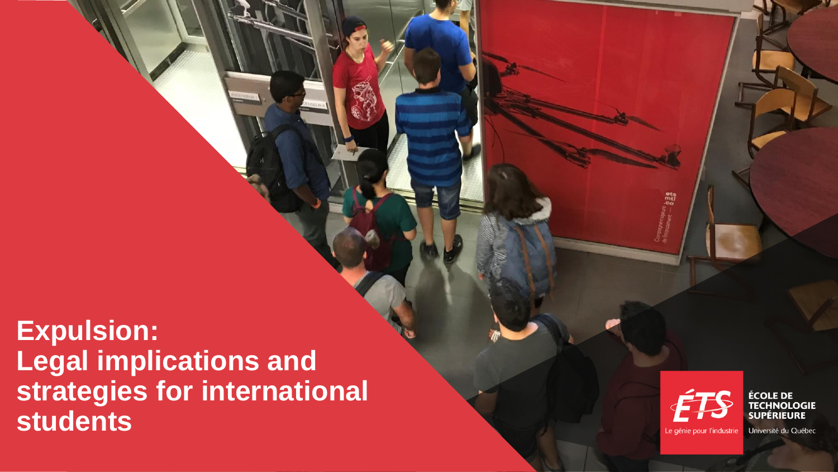**Expulsion: Legal implications and strategies for international students**



 $m<sub>l</sub>$ 

**ÉCOLE DE** TECHNOLOGIE<br>SUPÉRIEURE

Université du Québec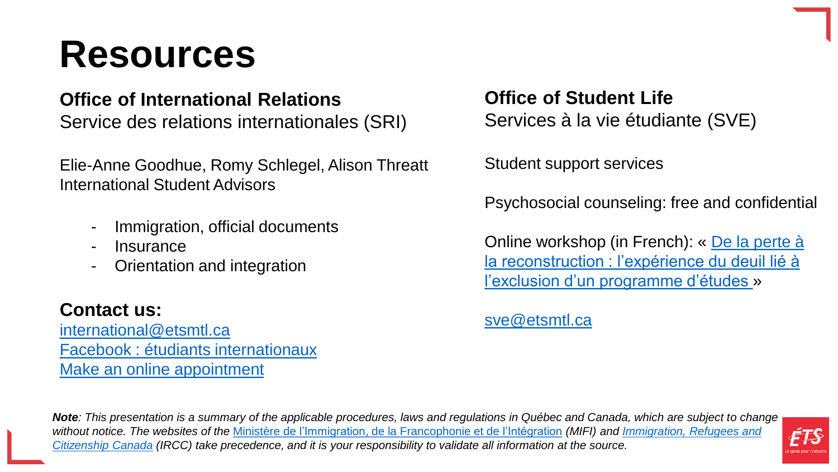## **Resources**

### **Office of International Relations** Service des relations internationales (SRI)

Elie-Anne Goodhue, Romy Schlegel, Alison Threatt International Student Advisors

- Immigration, official documents
- **Insurance**
- Orientation and integration

### **Contact us:**

[international@etsmtl.ca](mailto:international@etsmtl.ca) [Facebook : étudiants internationaux](https://www.facebook.com/groups/ets.ei/) Make [an online appointment](https://international.etsmtl.ca/rendez-vous-conseillere-etudiants-internationaux)

**Office of Student Life** Services à la vie étudiante (SVE)

Student support services

Psychosocial counseling: free and confidential

Online workshop (in French): « De la perte à [la reconstruction : l'expérience du deuil lié à](https://www.youtube.com/watch?v=RWuMrKxPrBo)  l'exclusion d'un programme d'études »

[sve@etsmtl.ca](mailto:sae@etsmtl.ca)

*Note: This presentation is a summary of the applicable procedures, laws and regulations in Québec and Canada, which are subject to change without notice. The websites of the* Ministère [de l'Immigration, de la Francophonie et de l'Intégration](http://www.immigration-quebec.gouv.qc.ca/en/home.html) *(MIFI) and Immigration, Refugees and Citizenship Canada [\(IRCC\) take precedence, and it is your responsibility to validate all information at the source.](https://www.canada.ca/en/immigration-refugees-citizenship.html)*

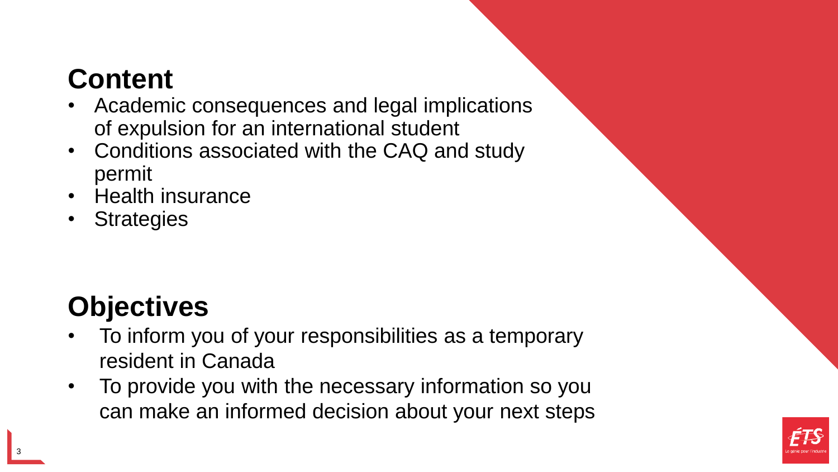## **Content**

- Academic consequences and legal implications of expulsion for an international student
- Conditions associated with the CAQ and study permit
- Health insurance
- **Strategies**

## **Objectives**

- To inform you of your responsibilities as a temporary resident in Canada
- To provide you with the necessary information so you can make an informed decision about your next steps

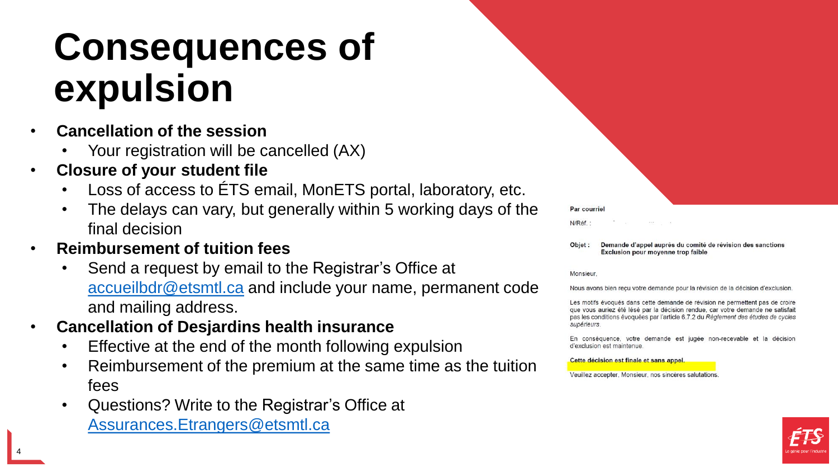# **Consequences of expulsion**

- **Cancellation of the session**
	- Your registration will be cancelled (AX)
- **Closure of your student file**
	- Loss of access to ÉTS email, MonETS portal, laboratory, etc.
	- The delays can vary, but generally within 5 working days of the final decision
- **Reimbursement of tuition fees**
	- Send a request by email to the Registrar's Office at [accueilbdr@etsmtl.ca](mailto:accueilbdr@etsmtl.ca) and include your name, permanent code and mailing address.
- **Cancellation of Desjardins health insurance**
	- Effective at the end of the month following expulsion
	- Reimbursement of the premium at the same time as the tuition fees
	- Questions? Write to the Registrar's Office at [Assurances.Etrangers@etsmtl.ca](mailto:Assurances.Etrangers@etsmtl.ca)

Par courriel N/Réf. Demande d'appel auprès du comité de révision des sanctions Objet: **Exclusion pour movenne trop faible** 

Monsieur

Nous avons bien recu votre demande pour la révision de la décision d'exclusion

Les motifs évoqués dans cette demande de révision ne permettent pas de croire que vous auriez été lésé par la décision rendue, car votre demande ne satisfait pas les conditions évoquées par l'article 6.7.2 du Règlement des études de cycles supérieurs.

En conséquence, votre demande est jugée non-recevable et la décision d'exclusion est maintenue.

#### Cette décision est finale et sans appel

Veuillez accepter, Monsieur, nos sincères salutations

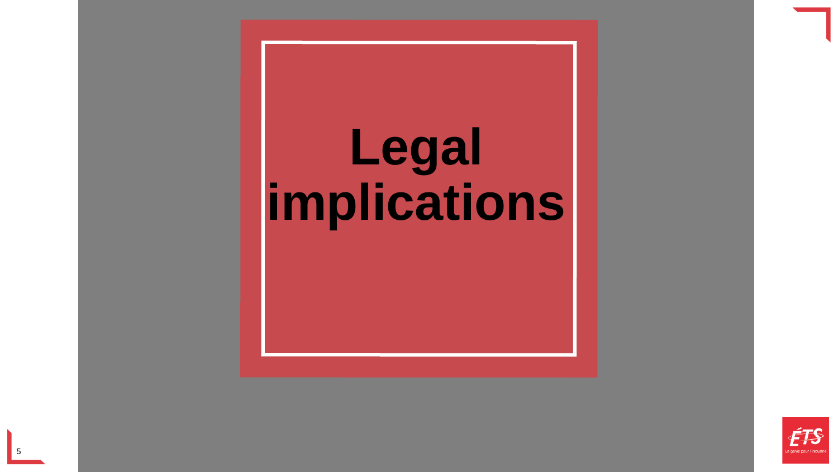

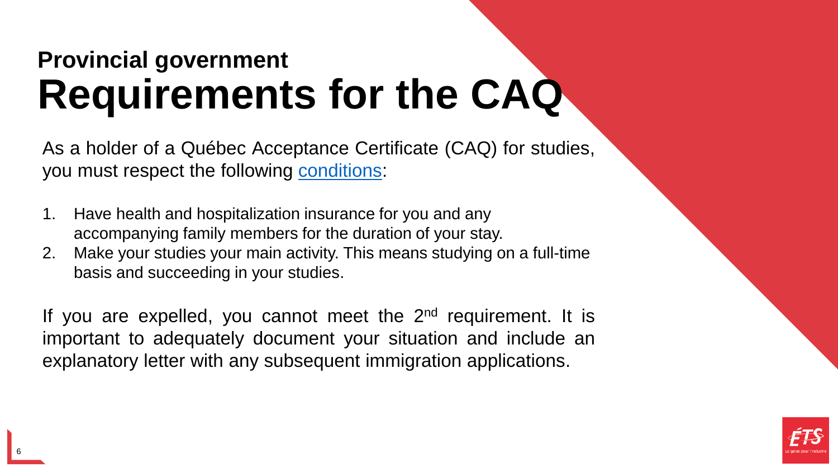## **Provincial government Requirements for the CAQ**

As a holder of a Québec Acceptance Certificate (CAQ) for studies, you must respect the following [conditions](https://www.quebec.ca/en/education/study-quebec/required-conditions):

- 1. Have health and hospitalization insurance for you and any accompanying family members for the duration of your stay.
- 2. Make your studies your main activity. This means studying on a full-time basis and succeeding in your studies.

If you are expelled, you cannot meet the 2<sup>nd</sup> requirement. It is important to adequately document your situation and include an explanatory letter with any subsequent immigration applications.

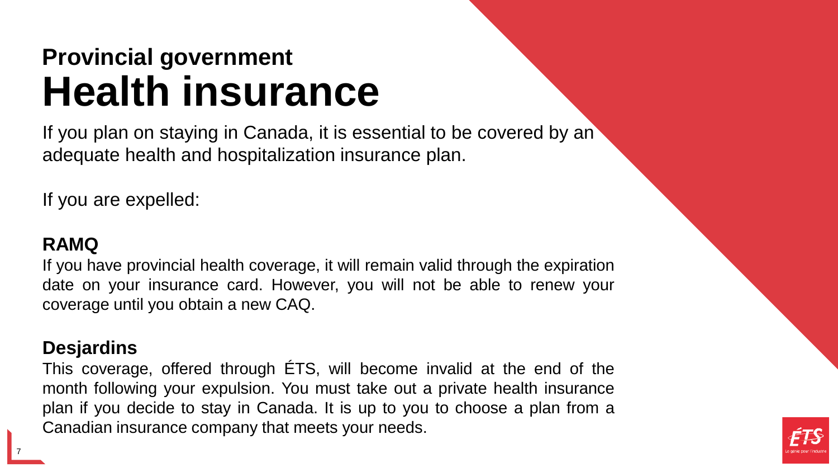## **Provincial government Health insurance**

If you plan on staying in Canada, it is essential to be covered by an adequate health and hospitalization insurance plan.

If you are expelled:

### **RAMQ**

If you have provincial health coverage, it will remain valid through the expiration date on your insurance card. However, you will not be able to renew your coverage until you obtain a new CAQ.

### **Desjardins**

This coverage, offered through ÉTS, will become invalid at the end of the month following your expulsion. You must take out a private health insurance plan if you decide to stay in Canada. It is up to you to choose a plan from a Canadian insurance company that meets your needs.

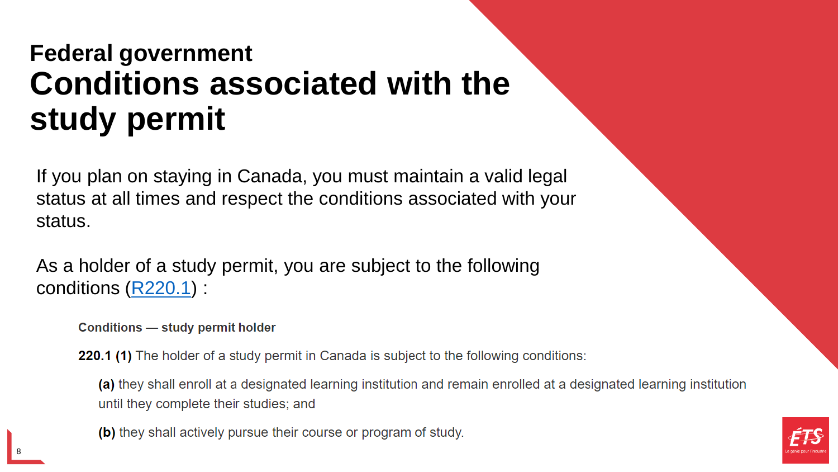## **Federal government Conditions associated with the study permit**

If you plan on staying in Canada, you must maintain a valid legal status at all times and respect the conditions associated with your status.

As a holder of a study permit, you are subject to the following conditions ([R220.1](https://laws-lois.justice.gc.ca/eng/regulations/SOR-2002-227/FullText.html#h-689265)) :

**Conditions - study permit holder** 

**220.1 (1)** The holder of a study permit in Canada is subject to the following conditions:

(a) they shall enroll at a designated learning institution and remain enrolled at a designated learning institution until they complete their studies; and

(b) they shall actively pursue their course or program of study.

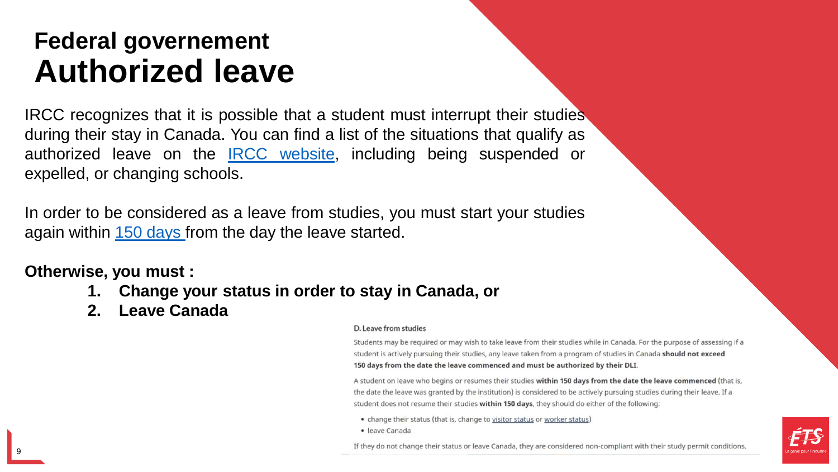## **Federal governement Authorized leave**

IRCC recognizes that it is possible that a student must interrupt their studies during their stay in Canada. You can find a list of the situations that qualify as authorized leave on the IRCC [website,](https://www.canada.ca/en/immigration-refugees-citizenship/corporate/publications-manuals/operational-bulletins-manuals/temporary-residents/study-permits/assessing-conditions.html#leave) including being suspended or expelled, or changing schools.

In order to be considered as a leave from studies, you must start your studies again within 150 [days](https://www.canada.ca/en/immigration-refugees-citizenship/corporate/publications-manuals/operational-bulletins-manuals/temporary-residents/study-permits/assessing-conditions.html#leave) from the day the leave started.

#### **Otherwise, you must :**

- **1. Change your status in order to stay in Canada, or**
- **2. Leave Canada**

#### D. Leave from studies

Students may be required or may wish to take leave from their studies while in Canada. For the purpose of assessing if a student is actively pursuing their studies, any leave taken from a program of studies in Canada should not exceed 150 days from the date the leave commenced and must be authorized by their DLI.

A student on leave who begins or resumes their studies within 150 days from the date the leave commenced (that is, the date the leave was granted by the institution) is considered to be actively pursuing studies during their leave. If a student does not resume their studies within 150 days, they should do either of the following:

- change their status (that is, change to visitor status or worker status)
- · leave Canada

If they do not change their status or leave Canada, they are considered non-compliant with their study permit conditions.

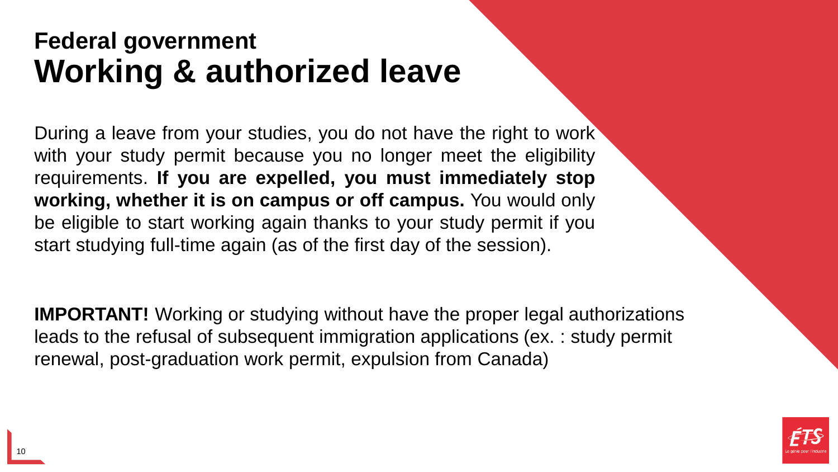## **Federal government Working & authorized leave**

During a leave from your studies, you do not have the right to work with your study permit because you no longer meet the eligibility requirements. **If you are expelled, you must immediately stop working, whether it is on campus or off campus.** You would only be eligible to start working again thanks to your study permit if you start studying full-time again (as of the first day of the session).

**IMPORTANT!** Working or studying without have the proper legal authorizations leads to the refusal of subsequent immigration applications (ex. : study permit renewal, post-graduation work permit, expulsion from Canada)

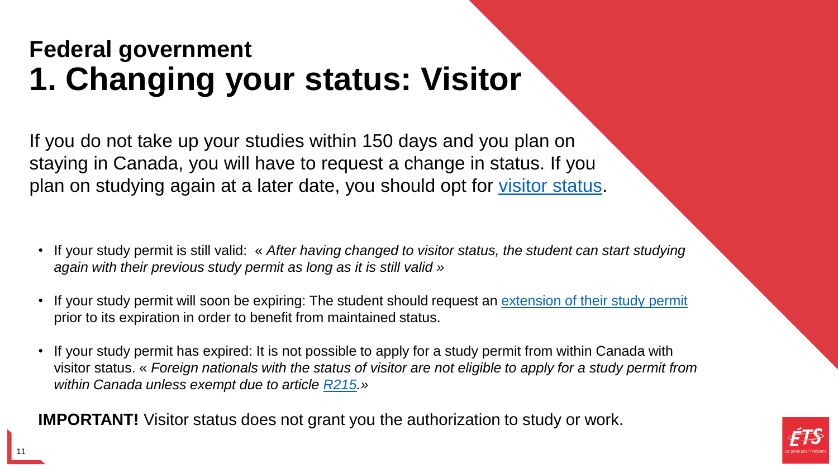## **Federal government 1. Changing your status: Visitor**

If you do not take up your studies within 150 days and you plan on staying in Canada, you will have to request a change in status. If you plan on studying again at a later date, you should opt for visitor [status.](https://www.canada.ca/en/immigration-refugees-citizenship/services/visit-canada/extend-stay.html)

- If your study permit is still valid: « *After having changed to visitor status, the student can start studying again with their previous study permit as long as it is still valid »*
- If your study permit will soon be expiring: The student should request an [extension of their](https://www.canada.ca/en/immigration-refugees-citizenship/services/come-canada-tool.html) study permit prior to its expiration in order to benefit from maintained status.
- If your study permit has expired: It is not possible to apply for a study permit from within Canada with visitor status. « *Foreign nationals with the status of visitor are not eligible to apply for a study permit from within Canada unless exempt due to article [R215.](https://laws-lois.justice.gc.ca/eng/regulations/SOR-2002-227/section-215.html)»*

**IMPORTANT!** Visitor status does not grant you the authorization to study or work.

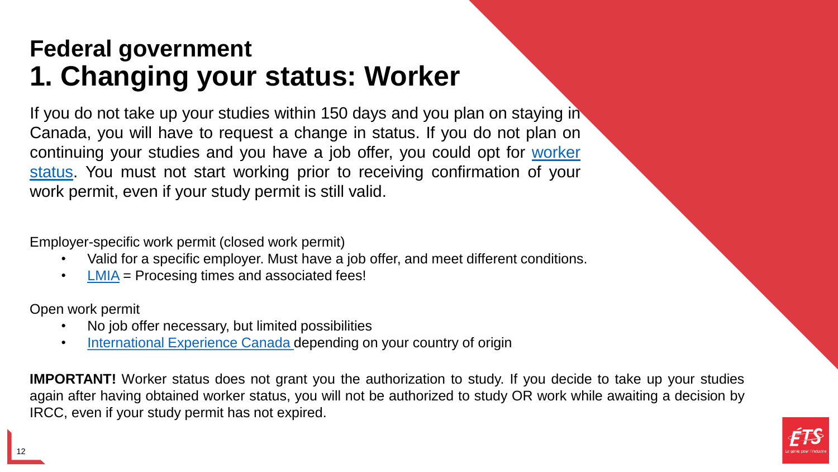## **Federal government 1. Changing your status: Worker**

If you do not take up your studies within 150 days and you plan on staying in Canada, you will have to request a change in status. If you do not plan on continuing your studies and you have a job offer, you could opt for worker status. You must not start working prior to receiving [confirmation](https://www.canada.ca/en/immigration-refugees-citizenship/services/work-canada/permit/temporary/work-permit.html) of your work permit, even if your study permit is still valid.

Employer-specific work permit (closed work permit)

- Valid for a specific employer. Must have a job offer, and meet different conditions.
- [LMIA](https://www.cic.gc.ca/english/helpcentre/answer.asp?qnum=163&top=17) = Procesing times and associated fees!

Open work permit

- No job offer necessary, but limited possibilities
- [International Experience](https://www.canada.ca/en/immigration-refugees-citizenship/services/work-canada/iec.html) Canada depending on your country of origin

**IMPORTANT!** Worker status does not grant you the authorization to study. If you decide to take up your studies again after having obtained worker status, you will not be authorized to study OR work while awaiting a decision by IRCC, even if your study permit has not expired.

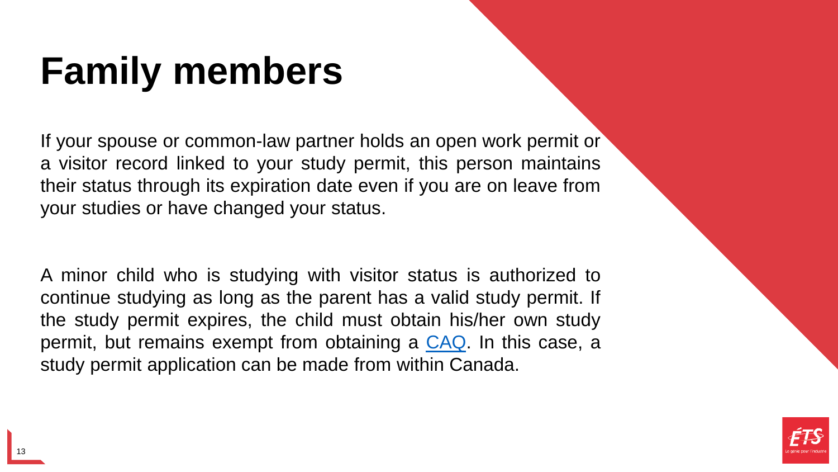# **Family members**

If your spouse or common-law partner holds an open work permit or a visitor record linked to your study permit, this person maintains their status through its expiration date even if you are on leave from your studies or have changed your status.

A minor child who is studying with visitor status is authorized to continue studying as long as the parent has a valid study permit. If the study permit expires, the child must obtain his/her own study permit, but remains exempt from obtaining a [CAQ.](https://www.quebec.ca/en/education/study-quebec/required-conditions) In this case, a study permit application can be made from within Canada.

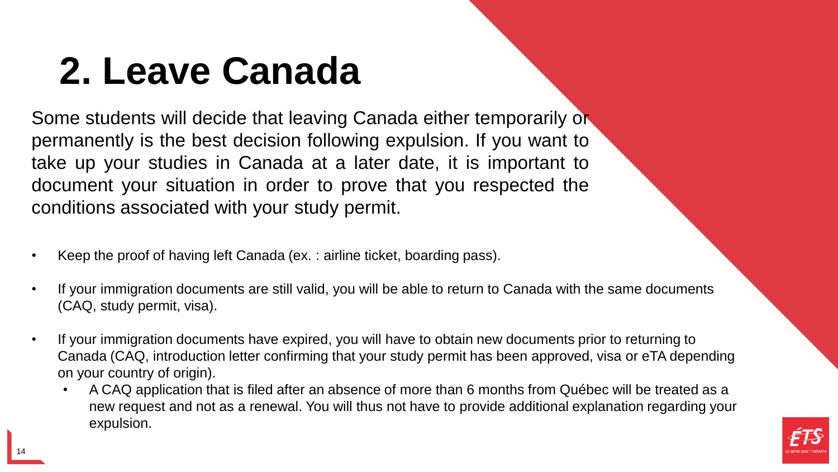# **2. Leave Canada**

Some students will decide that leaving Canada either temporarily or permanently is the best decision following expulsion. If you want to take up your studies in Canada at a later date, it is important to document your situation in order to prove that you respected the conditions associated with your study permit.

- Keep the proof of having left Canada (ex. : airline ticket, boarding pass).
- If your immigration documents are still valid, you will be able to return to Canada with the same documents (CAQ, study permit, visa).
- If your immigration documents have expired, you will have to obtain new documents prior to returning to Canada (CAQ, introduction letter confirming that your study permit has been approved, visa or eTA depending on your country of origin).
	- A CAQ application that is filed after an absence of more than 6 months from Québec will be treated as a new request and not as a renewal. You will thus not have to provide additional explanation regarding your expulsion.

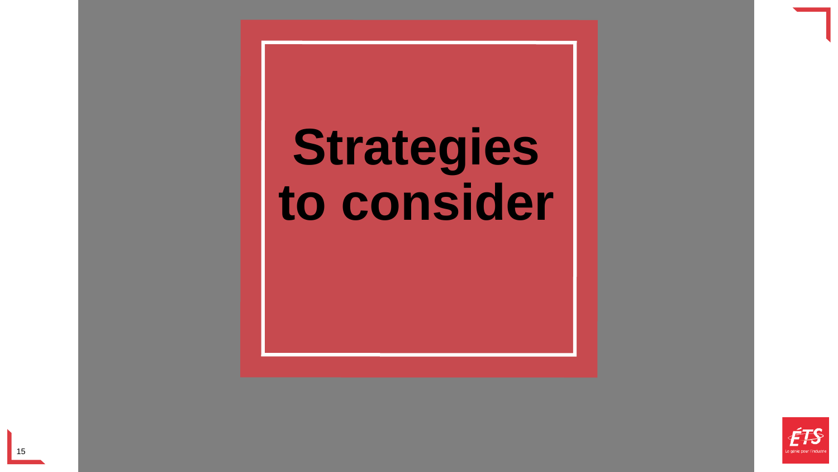# **Strategies to consider**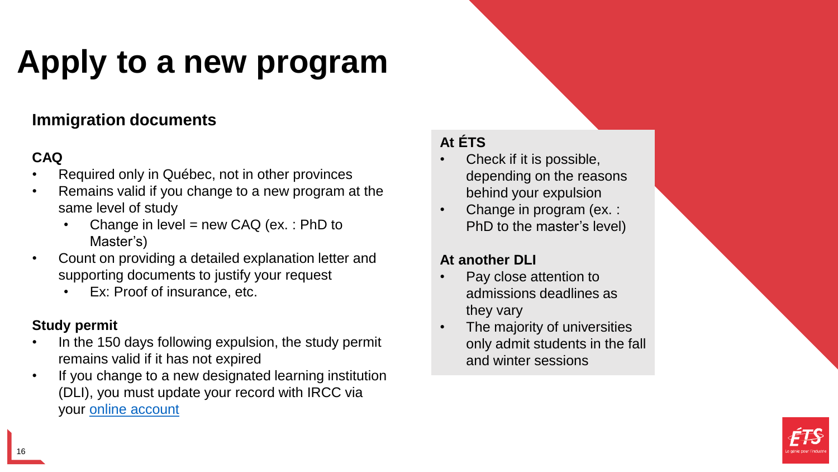## **Apply to a new program**

#### **Immigration documents**

#### **CAQ**

- Required only in Québec, not in other provinces
- Remains valid if you change to a new program at the same level of study
	- Change in level = new  $CAQ$  (ex. : PhD to Master's)
- Count on providing a detailed explanation letter and supporting documents to justify your request
	- Ex: Proof of insurance, etc.

#### **Study permit**

- In the 150 days following expulsion, the study permit remains valid if it has not expired
- If you change to a new designated learning institution (DLI), you must update your record with IRCC via your [online account](https://www.canada.ca/en/immigration-refugees-citizenship/services/study-canada/change-schools/account.html)

### **At ÉTS**

- Check if it is possible, depending on the reasons behind your expulsion
- Change in program (ex. : PhD to the master's level)

#### **At another DLI**

- Pay close attention to admissions deadlines as they vary
- The majority of universities only admit students in the fall and winter sessions

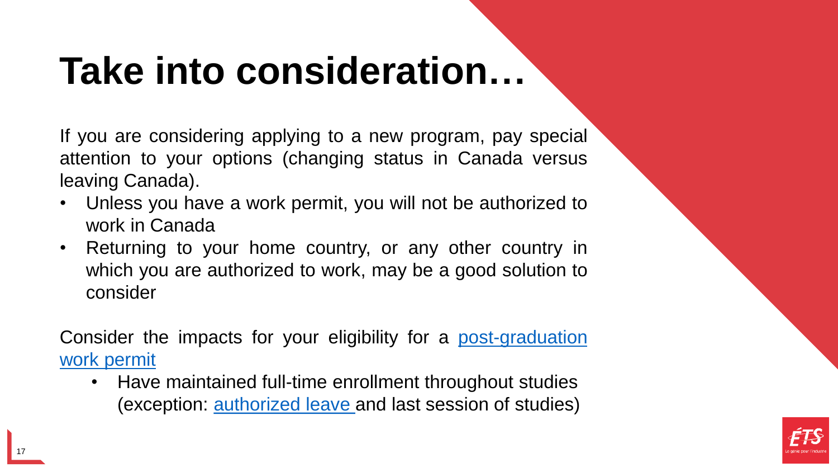# **Take into consideration…**

If you are considering applying to a new program, pay special attention to your options (changing status in Canada versus leaving Canada).

- Unless you have a work permit, you will not be authorized to work in Canada
- Returning to your home country, or any other country in which you are authorized to work, may be a good solution to consider

Consider the impacts for your eligibility for a [post-graduation](https://www.canada.ca/en/immigration-refugees-citizenship/services/study-canada/work/after-graduation/eligibility.html#leave) work permit

• Have maintained full-time enrollment throughout studies (exception: [authorized](https://www.canada.ca/en/immigration-refugees-citizenship/services/study-canada/study-permit/prepare-arrival/study-permit-conditions.html#s01.1) leave and last session of studies)